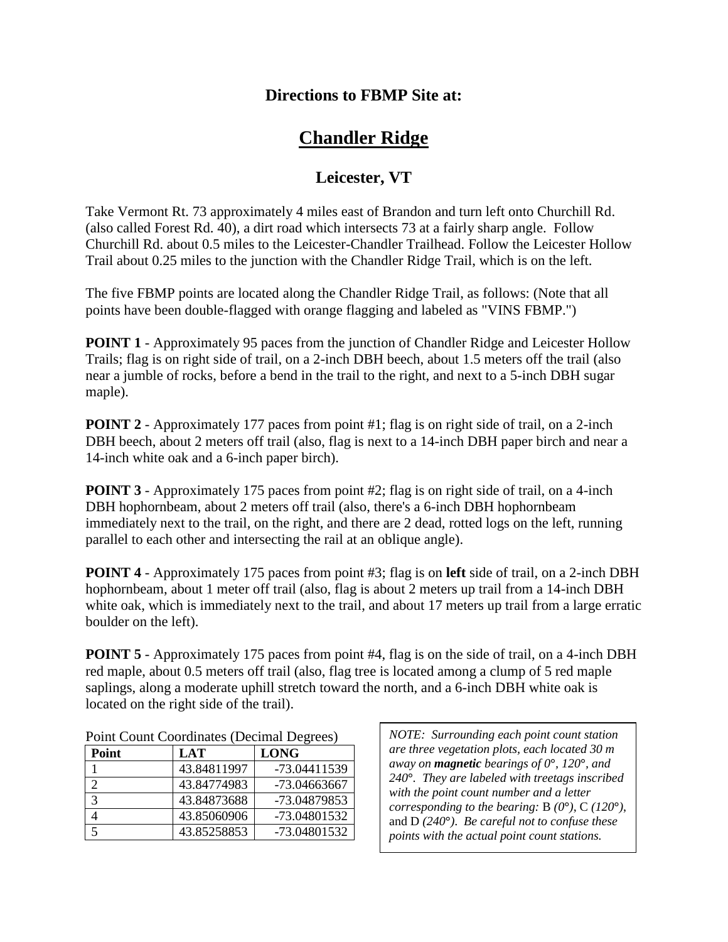## **Directions to FBMP Site at:**

## **Chandler Ridge**

## **Leicester, VT**

Take Vermont Rt. 73 approximately 4 miles east of Brandon and turn left onto Churchill Rd. (also called Forest Rd. 40), a dirt road which intersects 73 at a fairly sharp angle. Follow Churchill Rd. about 0.5 miles to the Leicester-Chandler Trailhead. Follow the Leicester Hollow Trail about 0.25 miles to the junction with the Chandler Ridge Trail, which is on the left.

The five FBMP points are located along the Chandler Ridge Trail, as follows: (Note that all points have been double-flagged with orange flagging and labeled as "VINS FBMP.")

**POINT 1** - Approximately 95 paces from the junction of Chandler Ridge and Leicester Hollow Trails; flag is on right side of trail, on a 2-inch DBH beech, about 1.5 meters off the trail (also near a jumble of rocks, before a bend in the trail to the right, and next to a 5-inch DBH sugar maple).

**POINT 2** - Approximately 177 paces from point #1; flag is on right side of trail, on a 2-inch DBH beech, about 2 meters off trail (also, flag is next to a 14-inch DBH paper birch and near a 14-inch white oak and a 6-inch paper birch).

**POINT 3** - Approximately 175 paces from point #2; flag is on right side of trail, on a 4-inch DBH hophornbeam, about 2 meters off trail (also, there's a 6-inch DBH hophornbeam immediately next to the trail, on the right, and there are 2 dead, rotted logs on the left, running parallel to each other and intersecting the rail at an oblique angle).

**POINT 4** - Approximately 175 paces from point #3; flag is on **left** side of trail, on a 2-inch DBH hophornbeam, about 1 meter off trail (also, flag is about 2 meters up trail from a 14-inch DBH white oak, which is immediately next to the trail, and about 17 meters up trail from a large erratic boulder on the left).

**POINT** 5 - Approximately 175 paces from point #4, flag is on the side of trail, on a 4-inch DBH red maple, about 0.5 meters off trail (also, flag tree is located among a clump of 5 red maple saplings, along a moderate uphill stretch toward the north, and a 6-inch DBH white oak is located on the right side of the trail).

| Point         | LAT         | <b>LONG</b>  |
|---------------|-------------|--------------|
|               | 43.84811997 | -73.04411539 |
| ◠             | 43.84774983 | -73.04663667 |
| $\mathcal{R}$ | 43.84873688 | -73.04879853 |
|               | 43.85060906 | -73.04801532 |
| $\leq$        | 43.85258853 | -73.04801532 |

| Point Count Coordinates (Decimal Degrees) |  |
|-------------------------------------------|--|
|-------------------------------------------|--|

*NOTE: Surrounding each point count station are three vegetation plots, each located 30 m away on magnetic bearings of 0***°***, 120***°***, and 240***°***. They are labeled with treetags inscribed with the point count number and a letter corresponding to the bearing:* B *(0***°***)*, C *(120***°***)*, and D *(240***°***)*. *Be careful not to confuse these points with the actual point count stations.*